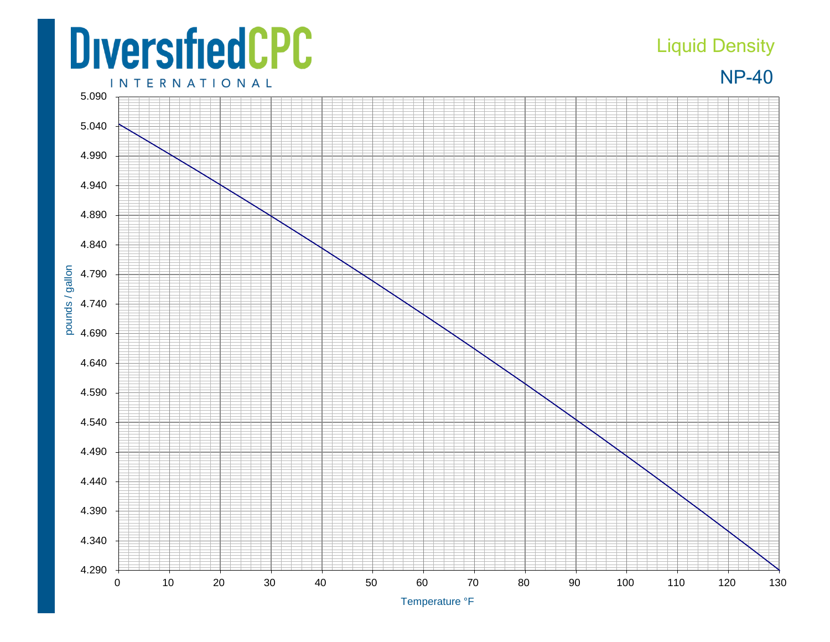## **DiversifiedCPC**

## Liquid Density



**INTERNATIONAL**